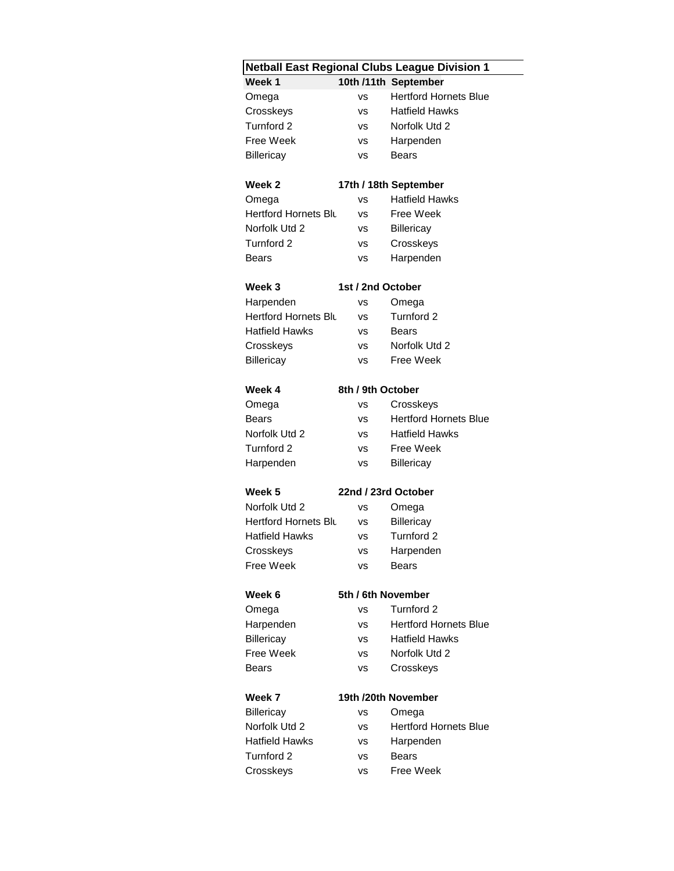| <b>Netball East Regional Clubs League Division 1</b> |                     |                              |  |  |  |  |  |
|------------------------------------------------------|---------------------|------------------------------|--|--|--|--|--|
| Week 1<br>10th /11th September                       |                     |                              |  |  |  |  |  |
| Omega                                                | VS                  | <b>Hertford Hornets Blue</b> |  |  |  |  |  |
| Crosskeys                                            | <b>VS</b>           | <b>Hatfield Hawks</b>        |  |  |  |  |  |
| Turnford 2                                           | <b>VS</b>           | Norfolk Utd 2                |  |  |  |  |  |
| Free Week                                            | <b>VS</b>           | Harpenden                    |  |  |  |  |  |
| Billericay                                           | VS                  | <b>Bears</b>                 |  |  |  |  |  |
|                                                      |                     |                              |  |  |  |  |  |
| Week 2                                               |                     | 17th / 18th September        |  |  |  |  |  |
| Omega                                                | vs                  | <b>Hatfield Hawks</b>        |  |  |  |  |  |
| Hertford Hornets Blu                                 | <b>VS</b>           | Free Week                    |  |  |  |  |  |
| Norfolk Utd 2                                        | <b>VS</b>           | <b>Billericay</b>            |  |  |  |  |  |
| Turnford 2                                           | VS                  | Crosskeys                    |  |  |  |  |  |
| Bears                                                | <b>VS</b>           | Harpenden                    |  |  |  |  |  |
| Week 3                                               | 1st / 2nd October   |                              |  |  |  |  |  |
| Harpenden                                            | vs                  | Omega                        |  |  |  |  |  |
| Hertford Hornets Blu                                 | vs                  | Turnford 2                   |  |  |  |  |  |
| Hatfield Hawks                                       | <b>VS</b>           | <b>Bears</b>                 |  |  |  |  |  |
| Crosskeys                                            | VS                  | Norfolk Utd 2                |  |  |  |  |  |
| <b>Billericay</b>                                    | VS                  | Free Week                    |  |  |  |  |  |
|                                                      |                     |                              |  |  |  |  |  |
| Week 4                                               | 8th / 9th October   |                              |  |  |  |  |  |
| Omega                                                | <b>VS</b>           | Crosskeys                    |  |  |  |  |  |
| Bears                                                | <b>VS</b>           | <b>Hertford Hornets Blue</b> |  |  |  |  |  |
| Norfolk Utd 2                                        | <b>VS</b>           | <b>Hatfield Hawks</b>        |  |  |  |  |  |
| Turnford 2                                           | vs                  | <b>Free Week</b>             |  |  |  |  |  |
| Harpenden                                            | <b>VS</b>           | <b>Billericay</b>            |  |  |  |  |  |
| Week 5                                               | 22nd / 23rd October |                              |  |  |  |  |  |
| Norfolk Utd 2                                        | vs                  | Omega                        |  |  |  |  |  |
| Hertford Hornets Blu                                 | vs                  | Billericay                   |  |  |  |  |  |
| <b>Hatfield Hawks</b>                                | VS                  | Turnford 2                   |  |  |  |  |  |
| Crosskeys                                            | VS                  | Harpenden                    |  |  |  |  |  |
| Free Week                                            | vs                  | <b>Bears</b>                 |  |  |  |  |  |
|                                                      |                     |                              |  |  |  |  |  |
| Week 6                                               | 5th / 6th November  |                              |  |  |  |  |  |
| Omega                                                | VS                  | Turnford 2                   |  |  |  |  |  |
| Harpenden                                            | VS                  | <b>Hertford Hornets Blue</b> |  |  |  |  |  |
| Billericay                                           | VS                  | <b>Hatfield Hawks</b>        |  |  |  |  |  |
| Free Week                                            | vs                  | Norfolk Utd 2                |  |  |  |  |  |
| Bears                                                | vs                  | Crosskeys                    |  |  |  |  |  |
| 19th /20th November<br>Week 7                        |                     |                              |  |  |  |  |  |
|                                                      |                     |                              |  |  |  |  |  |
| Billericay<br>Norfolk Utd 2                          | vs                  | Omega                        |  |  |  |  |  |
| Hatfield Hawks                                       | <b>VS</b>           | <b>Hertford Hornets Blue</b> |  |  |  |  |  |
|                                                      | vs                  | Harpenden                    |  |  |  |  |  |
| Turnford 2                                           | vs                  | <b>Bears</b>                 |  |  |  |  |  |
| Crosskeys                                            | VS                  | Free Week                    |  |  |  |  |  |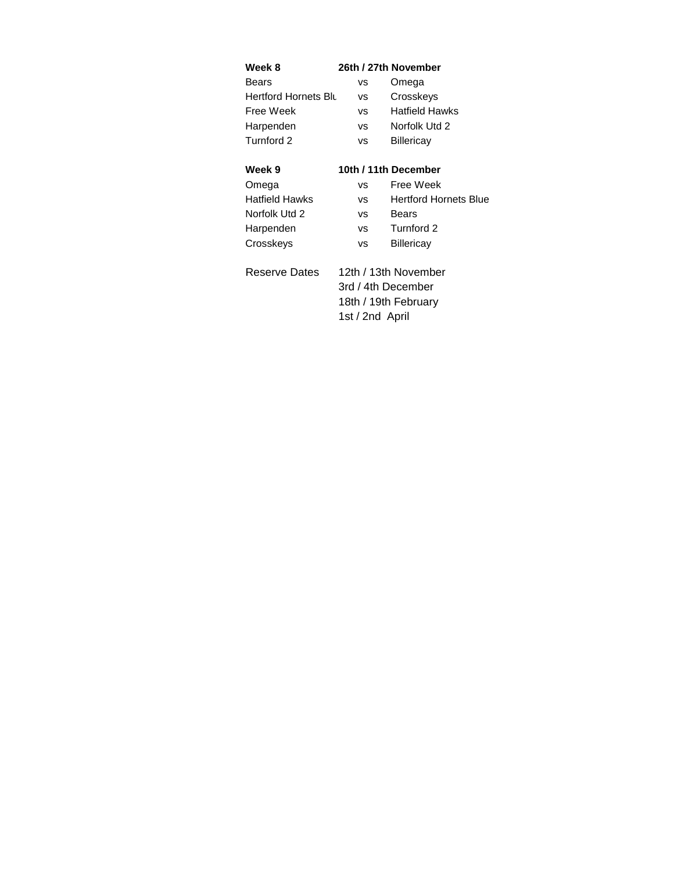| Week 8                      |                      | 26th / 27th November         |  |
|-----------------------------|----------------------|------------------------------|--|
| Bears                       | vs                   | Omega                        |  |
| <b>Hertford Hornets Blu</b> | vs                   | Crosskeys                    |  |
| Free Week                   | vs                   | Hatfield Hawks               |  |
| Harpenden                   | vs                   | Norfolk Utd 2                |  |
| Turnford 2                  | vs                   | Billericay                   |  |
|                             |                      |                              |  |
| Week 9                      | 10th / 11th December |                              |  |
| Omega                       | vs                   | Free Week                    |  |
| <b>Hatfield Hawks</b>       | <b>VS</b>            | <b>Hertford Hornets Blue</b> |  |
| Norfolk Utd 2               | vs                   | Bears                        |  |
| Harpenden                   | VS                   | Turnford 2                   |  |
| Crosskeys                   | vs                   | Billericay                   |  |
|                             |                      |                              |  |
| Reserve Dates               | 12th / 13th November |                              |  |
|                             | 3rd / 4th December   |                              |  |
|                             |                      | 18th / 19th February         |  |
|                             | 1st / 2nd April      |                              |  |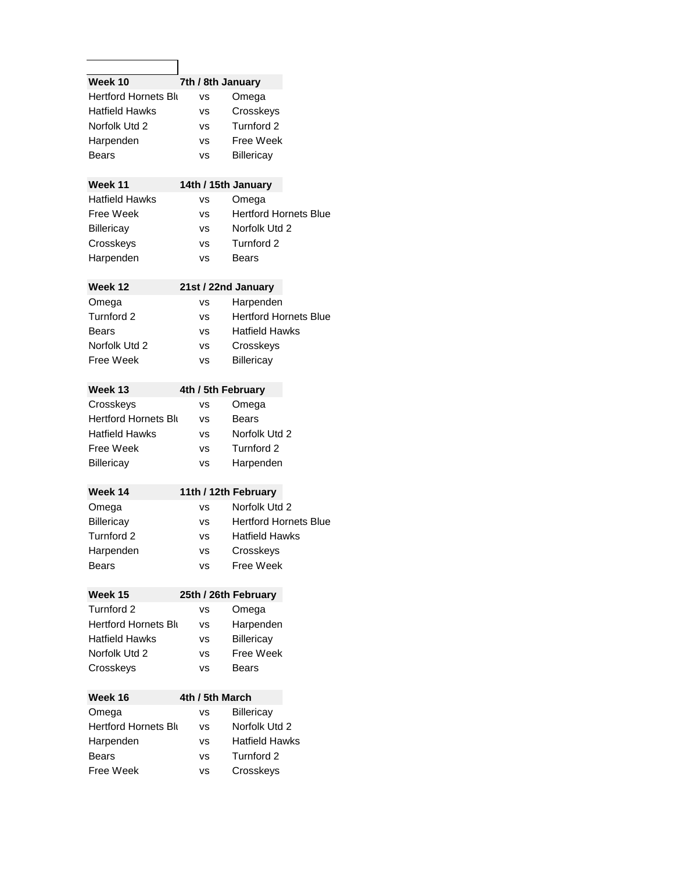| Week 10                     |                 | 7th / 8th January            |
|-----------------------------|-----------------|------------------------------|
| <b>Hertford Hornets Blu</b> | vs              | Omega                        |
| Hatfield Hawks              | vs              | Crosskeys                    |
| Norfolk Utd 2               | vs              | Turnford 2                   |
| Harpenden                   | VS              | Free Week                    |
| Bears                       | VS              | Billericay                   |
|                             |                 |                              |
| Week 11                     |                 | 14th / 15th January          |
| <b>Hatfield Hawks</b>       | vs              | Omega                        |
| Free Week                   | vs              | <b>Hertford Hornets Blue</b> |
| Billericay                  | vs              | Norfolk Utd 2                |
| Crosskeys                   | vs              | Turnford 2                   |
| Harpenden                   | VS              | Bears                        |
|                             |                 |                              |
| Week 12                     |                 | 21st / 22nd January          |
| Omega                       | vs              | Harpenden                    |
| Turnford 2                  | vs              | <b>Hertford Hornets Blue</b> |
| Bears                       | vs              | <b>Hatfield Hawks</b>        |
| Norfolk Utd 2               | vs              | Crosskeys                    |
| Free Week                   | vs              | Billericay                   |
|                             |                 |                              |
| Week 13                     |                 | 4th / 5th February           |
| Crosskeys                   | vs              | Omega                        |
| Hertford Hornets Blu        | vs              | Bears                        |
| <b>Hatfield Hawks</b>       | vs              | Norfolk Utd 2                |
| Free Week                   | vs              | Turnford 2                   |
| Billericay                  | vs              | Harpenden                    |
|                             |                 |                              |
| Week 14                     |                 | 1th / 12th February          |
| Omega                       | vs              | Norfolk Utd 2                |
| Billericay                  | vs              | <b>Hertford Hornets Blue</b> |
| Turnford 2                  | vs              | <b>Hatfield Hawks</b>        |
| Harpenden                   | VS              | Crosskeys                    |
| Bears                       | vs              | Free Week                    |
|                             |                 |                              |
| Week 15                     |                 | 25th / 26th February         |
| Turnford 2                  | vs              | Omega                        |
| <b>Hertford Hornets Blu</b> | vs              | Harpenden                    |
| <b>Hatfield Hawks</b>       | vs              | Billericay                   |
| Norfolk Utd 2               | vs              | Free Week                    |
| Crosskeys                   | vs              | Bears                        |
|                             |                 |                              |
| Week 16                     | 4th / 5th March |                              |
| Omega                       | vs              | Billericay                   |
| <b>Hertford Hornets Blu</b> | vs              | Norfolk Utd 2                |
| Harpenden                   | vs              | <b>Hatfield Hawks</b>        |
| Bears                       | VS              | Turnford 2                   |
| Free Week                   | ٧S              | Crosskeys                    |
|                             |                 |                              |

٦